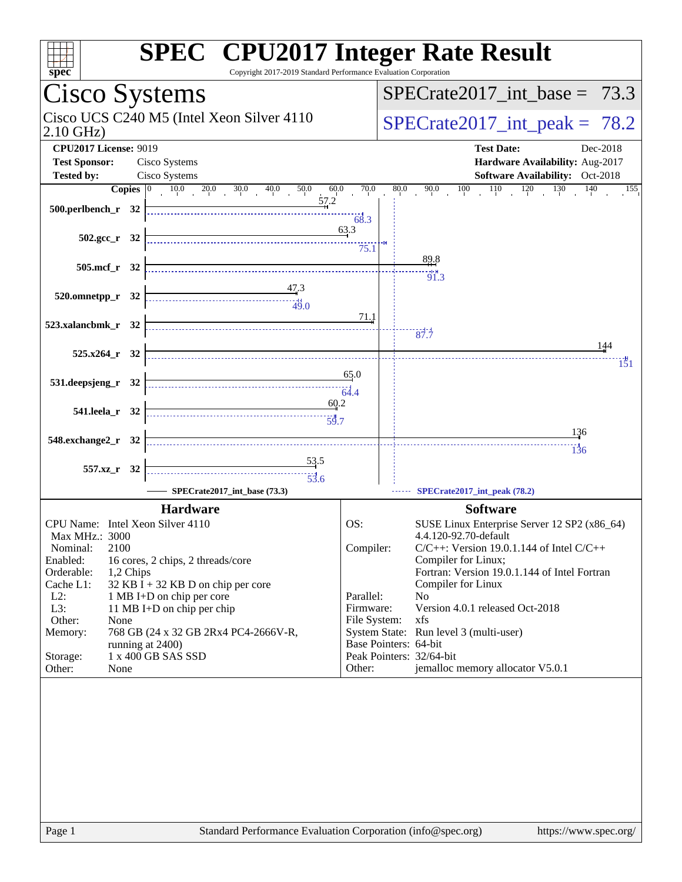| <b>SPEC<sup>®</sup></b> CPU2017 Integer Rate Result<br>Copyright 2017-2019 Standard Performance Evaluation Corporation<br>spec <sup>®</sup>                                                                                                                                           |                           |                                                                                               |  |  |  |  |
|---------------------------------------------------------------------------------------------------------------------------------------------------------------------------------------------------------------------------------------------------------------------------------------|---------------------------|-----------------------------------------------------------------------------------------------|--|--|--|--|
| Cisco Systems                                                                                                                                                                                                                                                                         |                           | $SPECTate2017\_int\_base = 73.3$                                                              |  |  |  |  |
| Cisco UCS C240 M5 (Intel Xeon Silver 4110)<br>$2.10$ GHz)                                                                                                                                                                                                                             |                           | $SPECTate2017\_int\_peak = 78.2$                                                              |  |  |  |  |
| <b>CPU2017 License: 9019</b>                                                                                                                                                                                                                                                          |                           | <b>Test Date:</b><br>Dec-2018                                                                 |  |  |  |  |
| <b>Test Sponsor:</b><br>Cisco Systems                                                                                                                                                                                                                                                 |                           | Hardware Availability: Aug-2017                                                               |  |  |  |  |
| <b>Tested by:</b><br>Cisco Systems<br><b>Copies</b> $\begin{array}{ l} 0 & 10.0 & 20.0 & 30.0 & 40.0 \\ \end{array}$<br>50.0<br>60.0                                                                                                                                                  | 70.0                      | <b>Software Availability:</b> Oct-2018<br>$90.0$ $100$ $110$ $120$ $130$ $140$<br>80.0<br>155 |  |  |  |  |
| 57.2                                                                                                                                                                                                                                                                                  | 68.3                      |                                                                                               |  |  |  |  |
| 502.gcc $r$ 32                                                                                                                                                                                                                                                                        | 63.3<br>75.1              |                                                                                               |  |  |  |  |
| 505.mcf_r 32                                                                                                                                                                                                                                                                          |                           | 89.8                                                                                          |  |  |  |  |
| $\begin{array}{c}\n 47.3 \\  +47.3 \\  +49.0\n\end{array}$<br>$520.0$ mnetpp_r 32                                                                                                                                                                                                     | 71.1                      | 91.3                                                                                          |  |  |  |  |
| 523.xalancbmk r 32                                                                                                                                                                                                                                                                    |                           | 37.7                                                                                          |  |  |  |  |
| $525.x264$ r 32                                                                                                                                                                                                                                                                       |                           | 144                                                                                           |  |  |  |  |
|                                                                                                                                                                                                                                                                                       |                           | 151                                                                                           |  |  |  |  |
| 531.deepsjeng_r 32                                                                                                                                                                                                                                                                    | 65.0                      |                                                                                               |  |  |  |  |
| 60.2<br>541.leela_r 32                                                                                                                                                                                                                                                                |                           |                                                                                               |  |  |  |  |
| 548.exchange2_r 32                                                                                                                                                                                                                                                                    |                           | 136                                                                                           |  |  |  |  |
|                                                                                                                                                                                                                                                                                       |                           | $\frac{11}{136}$                                                                              |  |  |  |  |
| $\frac{53.5}{5}$<br>557.xz_r 32<br>$\begin{array}{c c c c c} \hline \multicolumn{3}{c }{\textbf{1}} & \multicolumn{3}{c }{\textbf{2}} \\ \hline \multicolumn{3}{c }{\textbf{2}} & \multicolumn{3}{c }{\textbf{3}} \\ \hline \multicolumn{3}{c }{\textbf{53}}.6 \\ \hline \end{array}$ |                           |                                                                                               |  |  |  |  |
| SPECrate2017_int_base (73.3)                                                                                                                                                                                                                                                          |                           | SPECrate2017_int_peak (78.2)                                                                  |  |  |  |  |
| <b>Hardware</b>                                                                                                                                                                                                                                                                       |                           | <b>Software</b>                                                                               |  |  |  |  |
| CPU Name: Intel Xeon Silver 4110                                                                                                                                                                                                                                                      | OS:                       | SUSE Linux Enterprise Server 12 SP2 (x86_64)                                                  |  |  |  |  |
| Max MHz.: 3000<br>2100<br>Nominal:                                                                                                                                                                                                                                                    | Compiler:                 | 4.4.120-92.70-default<br>$C/C++$ : Version 19.0.1.144 of Intel $C/C++$                        |  |  |  |  |
| Enabled:<br>16 cores, 2 chips, 2 threads/core                                                                                                                                                                                                                                         |                           | Compiler for Linux;                                                                           |  |  |  |  |
| Orderable:<br>1,2 Chips<br>Cache L1:<br>32 KB I + 32 KB D on chip per core                                                                                                                                                                                                            |                           | Fortran: Version 19.0.1.144 of Intel Fortran<br>Compiler for Linux                            |  |  |  |  |
| $L2$ :<br>1 MB I+D on chip per core                                                                                                                                                                                                                                                   | Parallel:                 | N <sub>0</sub>                                                                                |  |  |  |  |
| L3:<br>11 MB I+D on chip per chip<br>Other:<br>None                                                                                                                                                                                                                                   | Firmware:<br>File System: | Version 4.0.1 released Oct-2018<br>xfs                                                        |  |  |  |  |
| 768 GB (24 x 32 GB 2Rx4 PC4-2666V-R,<br>Memory:                                                                                                                                                                                                                                       |                           | System State: Run level 3 (multi-user)<br>Base Pointers: 64-bit                               |  |  |  |  |
| running at 2400)<br>1 x 400 GB SAS SSD<br>Storage:                                                                                                                                                                                                                                    |                           | Peak Pointers: 32/64-bit                                                                      |  |  |  |  |
| Other:<br>None                                                                                                                                                                                                                                                                        | Other:                    | jemalloc memory allocator V5.0.1                                                              |  |  |  |  |
|                                                                                                                                                                                                                                                                                       |                           |                                                                                               |  |  |  |  |
|                                                                                                                                                                                                                                                                                       |                           |                                                                                               |  |  |  |  |
|                                                                                                                                                                                                                                                                                       |                           |                                                                                               |  |  |  |  |
|                                                                                                                                                                                                                                                                                       |                           |                                                                                               |  |  |  |  |
|                                                                                                                                                                                                                                                                                       |                           |                                                                                               |  |  |  |  |
|                                                                                                                                                                                                                                                                                       |                           |                                                                                               |  |  |  |  |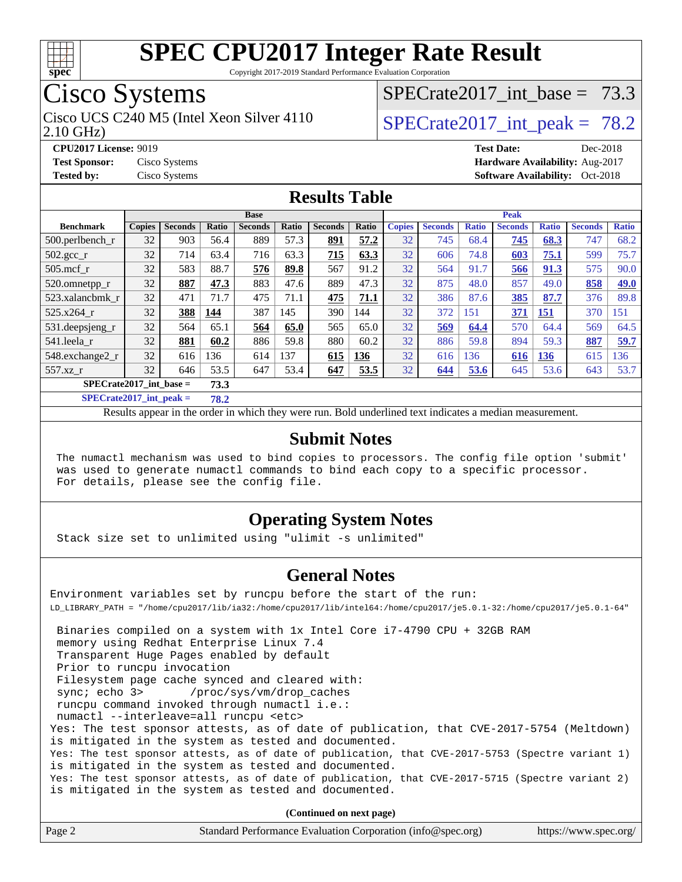

Copyright 2017-2019 Standard Performance Evaluation Corporation

## Cisco Systems

2.10 GHz) Cisco UCS C240 M5 (Intel Xeon Silver 4110  $\vert$  SPECrate 2017 int peak = 78.2

SPECrate2017 int\_base =  $73.3$ 

**[CPU2017 License:](http://www.spec.org/auto/cpu2017/Docs/result-fields.html#CPU2017License)** 9019 **[Test Date:](http://www.spec.org/auto/cpu2017/Docs/result-fields.html#TestDate)** Dec-2018 **[Test Sponsor:](http://www.spec.org/auto/cpu2017/Docs/result-fields.html#TestSponsor)** Cisco Systems **[Hardware Availability:](http://www.spec.org/auto/cpu2017/Docs/result-fields.html#HardwareAvailability)** Aug-2017 **[Tested by:](http://www.spec.org/auto/cpu2017/Docs/result-fields.html#Testedby)** Cisco Systems **[Software Availability:](http://www.spec.org/auto/cpu2017/Docs/result-fields.html#SoftwareAvailability)** Oct-2018

#### **[Results Table](http://www.spec.org/auto/cpu2017/Docs/result-fields.html#ResultsTable)**

|                                   | <b>Base</b>   |                |       |                |       |                | <b>Peak</b> |               |                |              |                   |              |                |              |
|-----------------------------------|---------------|----------------|-------|----------------|-------|----------------|-------------|---------------|----------------|--------------|-------------------|--------------|----------------|--------------|
| <b>Benchmark</b>                  | <b>Copies</b> | <b>Seconds</b> | Ratio | <b>Seconds</b> | Ratio | <b>Seconds</b> | Ratio       | <b>Copies</b> | <b>Seconds</b> | <b>Ratio</b> | <b>Seconds</b>    | <b>Ratio</b> | <b>Seconds</b> | <b>Ratio</b> |
| $500$ .perlbench r                | 32            | 903            | 56.4  | 889            | 57.3  | 891            | 57.2        | 32            | 745            | 68.4         | 745               | 68.3         | 747            | 68.2         |
| $502.\text{gcc}_{r}$              | 32            | 714            | 63.4  | 716            | 63.3  | 715            | 63.3        | 32            | 606            | 74.8         | $\underline{603}$ | 75.1         | 599            | 75.7         |
| $505$ .mcf r                      | 32            | 583            | 88.7  | 576            | 89.8  | 567            | 91.2        | 32            | 564            | 91.7         | 566               | 91.3         | 575            | 90.0         |
| 520.omnetpp_r                     | 32            | 887            | 47.3  | 883            | 47.6  | 889            | 47.3        | 32            | 875            | 48.0         | 857               | 49.0         | 858            | 49.0         |
| 523.xalancbmk r                   | 32            | 471            | 71.7  | 475            | 71.1  | 475            | 71.1        | 32            | 386            | 87.6         | 385               | 87.7         | 376            | 89.8         |
| 525.x264 r                        | 32            | 388            | 144   | 387            | 145   | 390            | 144         | 32            | 372            | 151          | 371               | 151          | 370            | 151          |
| 531.deepsjeng_r                   | 32            | 564            | 65.1  | 564            | 65.0  | 565            | 65.0        | 32            | 569            | 64.4         | 570               | 64.4         | 569            | 64.5         |
| 541.leela r                       | 32            | 881            | 60.2  | 886            | 59.8  | 880            | 60.2        | 32            | 886            | 59.8         | 894               | 59.3         | 887            | 59.7         |
| 548.exchange2_r                   | 32            | 616            | 136   | 614            | 137   | 615            | 136         | 32            | 616            | 136          | 616               | <b>136</b>   | 615            | 136          |
| 557.xz r                          | 32            | 646            | 53.5  | 647            | 53.4  | 647            | 53.5        | 32            | 644            | 53.6         | 645               | 53.6         | 643            | 53.7         |
| $SPECrate2017$ int base =<br>73.3 |               |                |       |                |       |                |             |               |                |              |                   |              |                |              |

**[SPECrate2017\\_int\\_peak =](http://www.spec.org/auto/cpu2017/Docs/result-fields.html#SPECrate2017intpeak) 78.2**

Results appear in the [order in which they were run.](http://www.spec.org/auto/cpu2017/Docs/result-fields.html#RunOrder) Bold underlined text [indicates a median measurement.](http://www.spec.org/auto/cpu2017/Docs/result-fields.html#Median)

#### **[Submit Notes](http://www.spec.org/auto/cpu2017/Docs/result-fields.html#SubmitNotes)**

 The numactl mechanism was used to bind copies to processors. The config file option 'submit' was used to generate numactl commands to bind each copy to a specific processor. For details, please see the config file.

#### **[Operating System Notes](http://www.spec.org/auto/cpu2017/Docs/result-fields.html#OperatingSystemNotes)**

Stack size set to unlimited using "ulimit -s unlimited"

#### **[General Notes](http://www.spec.org/auto/cpu2017/Docs/result-fields.html#GeneralNotes)**

Environment variables set by runcpu before the start of the run: LD\_LIBRARY\_PATH = "/home/cpu2017/lib/ia32:/home/cpu2017/lib/intel64:/home/cpu2017/je5.0.1-32:/home/cpu2017/je5.0.1-64" Binaries compiled on a system with 1x Intel Core i7-4790 CPU + 32GB RAM memory using Redhat Enterprise Linux 7.4 Transparent Huge Pages enabled by default

Prior to runcpu invocation

Filesystem page cache synced and cleared with:

sync; echo 3> /proc/sys/vm/drop\_caches

runcpu command invoked through numactl i.e.:

numactl --interleave=all runcpu <etc>

Yes: The test sponsor attests, as of date of publication, that CVE-2017-5754 (Meltdown) is mitigated in the system as tested and documented.

Yes: The test sponsor attests, as of date of publication, that CVE-2017-5753 (Spectre variant 1) is mitigated in the system as tested and documented.

Yes: The test sponsor attests, as of date of publication, that CVE-2017-5715 (Spectre variant 2) is mitigated in the system as tested and documented.

**(Continued on next page)**

| Page 2<br>Standard Performance Evaluation Corporation (info@spec.org)<br>https://www.spec.org/ |
|------------------------------------------------------------------------------------------------|
|------------------------------------------------------------------------------------------------|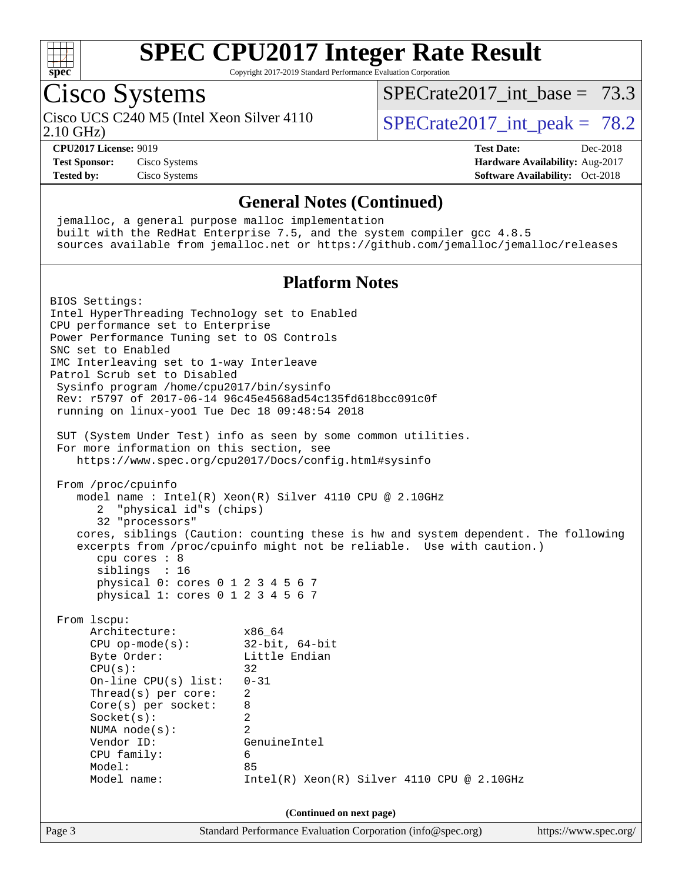

Copyright 2017-2019 Standard Performance Evaluation Corporation

## Cisco Systems

2.10 GHz) Cisco UCS C240 M5 (Intel Xeon Silver 4110  $\vert$  SPECrate 2017 int peak = 78.2

SPECrate2017 int\_base =  $73.3$ 

**[Test Sponsor:](http://www.spec.org/auto/cpu2017/Docs/result-fields.html#TestSponsor)** Cisco Systems **[Hardware Availability:](http://www.spec.org/auto/cpu2017/Docs/result-fields.html#HardwareAvailability)** Aug-2017 **[Tested by:](http://www.spec.org/auto/cpu2017/Docs/result-fields.html#Testedby)** Cisco Systems **[Software Availability:](http://www.spec.org/auto/cpu2017/Docs/result-fields.html#SoftwareAvailability)** Oct-2018

# **[CPU2017 License:](http://www.spec.org/auto/cpu2017/Docs/result-fields.html#CPU2017License)** 9019 **[Test Date:](http://www.spec.org/auto/cpu2017/Docs/result-fields.html#TestDate)** Dec-2018

#### **[General Notes \(Continued\)](http://www.spec.org/auto/cpu2017/Docs/result-fields.html#GeneralNotes)**

 jemalloc, a general purpose malloc implementation built with the RedHat Enterprise 7.5, and the system compiler gcc 4.8.5 sources available from jemalloc.net or <https://github.com/jemalloc/jemalloc/releases>

#### **[Platform Notes](http://www.spec.org/auto/cpu2017/Docs/result-fields.html#PlatformNotes)**

Page 3 Standard Performance Evaluation Corporation [\(info@spec.org\)](mailto:info@spec.org) <https://www.spec.org/> BIOS Settings: Intel HyperThreading Technology set to Enabled CPU performance set to Enterprise Power Performance Tuning set to OS Controls SNC set to Enabled IMC Interleaving set to 1-way Interleave Patrol Scrub set to Disabled Sysinfo program /home/cpu2017/bin/sysinfo Rev: r5797 of 2017-06-14 96c45e4568ad54c135fd618bcc091c0f running on linux-yoo1 Tue Dec 18 09:48:54 2018 SUT (System Under Test) info as seen by some common utilities. For more information on this section, see <https://www.spec.org/cpu2017/Docs/config.html#sysinfo> From /proc/cpuinfo model name : Intel(R) Xeon(R) Silver 4110 CPU @ 2.10GHz 2 "physical id"s (chips) 32 "processors" cores, siblings (Caution: counting these is hw and system dependent. The following excerpts from /proc/cpuinfo might not be reliable. Use with caution.) cpu cores : 8 siblings : 16 physical 0: cores 0 1 2 3 4 5 6 7 physical 1: cores 0 1 2 3 4 5 6 7 From lscpu: Architecture: x86\_64 CPU op-mode(s): 32-bit, 64-bit Byte Order: Little Endian  $CPU(s):$  32 On-line CPU(s) list: 0-31 Thread(s) per core: 2 Core(s) per socket: 8 Socket(s): 2 NUMA node(s): 2 Vendor ID: GenuineIntel CPU family: 6 Model: 85 Model name: Intel(R) Xeon(R) Silver 4110 CPU @ 2.10GHz **(Continued on next page)**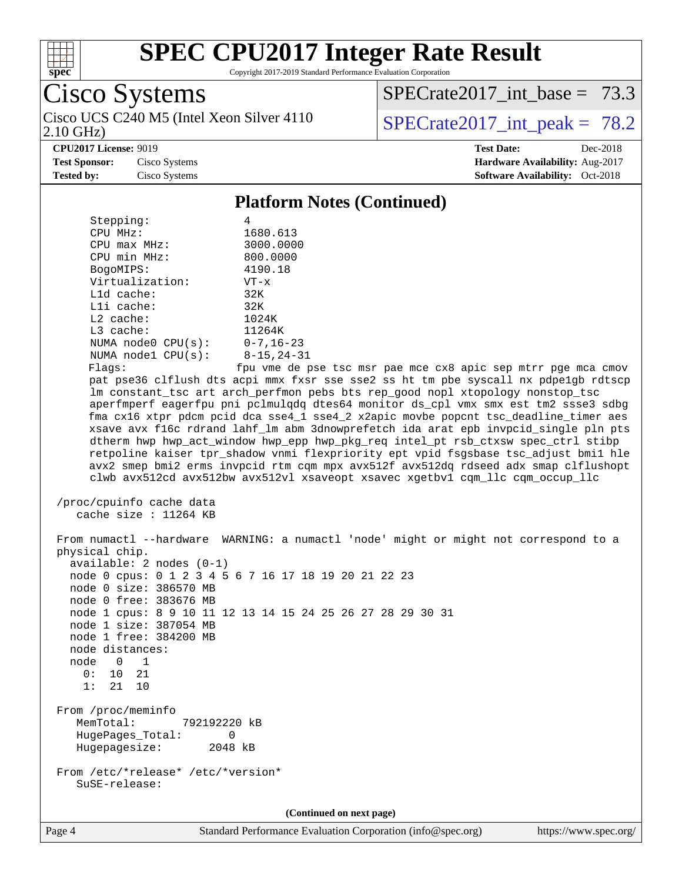

Copyright 2017-2019 Standard Performance Evaluation Corporation

Cisco Systems 2.10 GHz) Cisco UCS C240 M5 (Intel Xeon Silver 4110  $\vert$  SPECrate 2017 int peak = 78.2

[SPECrate2017\\_int\\_base =](http://www.spec.org/auto/cpu2017/Docs/result-fields.html#SPECrate2017intbase) 73.3

**[CPU2017 License:](http://www.spec.org/auto/cpu2017/Docs/result-fields.html#CPU2017License)** 9019 **[Test Date:](http://www.spec.org/auto/cpu2017/Docs/result-fields.html#TestDate)** Dec-2018

**[Test Sponsor:](http://www.spec.org/auto/cpu2017/Docs/result-fields.html#TestSponsor)** Cisco Systems **[Hardware Availability:](http://www.spec.org/auto/cpu2017/Docs/result-fields.html#HardwareAvailability)** Aug-2017 **[Tested by:](http://www.spec.org/auto/cpu2017/Docs/result-fields.html#Testedby)** Cisco Systems **[Software Availability:](http://www.spec.org/auto/cpu2017/Docs/result-fields.html#SoftwareAvailability)** Oct-2018

#### **[Platform Notes \(Continued\)](http://www.spec.org/auto/cpu2017/Docs/result-fields.html#PlatformNotes)**

| Stepping:               |                                 |
|-------------------------|---------------------------------|
| CPU MHz:                | 1680.613                        |
| $CPIJ$ max $MHz$ :      | 3000.0000                       |
| CPU min MHz:            | 800.0000                        |
| BogoMIPS:               | 4190.18                         |
| Virtualization:         | $VT - x$                        |
| L1d cache:              | 32K                             |
| $L1i$ cache:            | 32K                             |
| $L2$ cache:             | 1024K                           |
| $L3$ cache:             | 11264K                          |
| NUMA $node0$ $CPU(s)$ : | $0 - 7$ , 16–23                 |
| NUMA $node1$ $CPU(s)$ : | $8 - 15, 24 - 31$               |
| $E1 \sim 0.01$          | $f_{\text{D11}}$ $\tau$ mo do r |

Flags: fpu vme de pse tsc msr pae mce cx8 apic sep mtrr pge mca cmov pat pse36 clflush dts acpi mmx fxsr sse sse2 ss ht tm pbe syscall nx pdpe1gb rdtscp lm constant\_tsc art arch\_perfmon pebs bts rep\_good nopl xtopology nonstop\_tsc aperfmperf eagerfpu pni pclmulqdq dtes64 monitor ds\_cpl vmx smx est tm2 ssse3 sdbg fma cx16 xtpr pdcm pcid dca sse4\_1 sse4\_2 x2apic movbe popcnt tsc\_deadline\_timer aes xsave avx f16c rdrand lahf\_lm abm 3dnowprefetch ida arat epb invpcid\_single pln pts dtherm hwp hwp\_act\_window hwp\_epp hwp\_pkg\_req intel\_pt rsb\_ctxsw spec\_ctrl stibp retpoline kaiser tpr\_shadow vnmi flexpriority ept vpid fsgsbase tsc\_adjust bmi1 hle avx2 smep bmi2 erms invpcid rtm cqm mpx avx512f avx512dq rdseed adx smap clflushopt clwb avx512cd avx512bw avx512vl xsaveopt xsavec xgetbv1 cqm\_llc cqm\_occup\_llc

```
 /proc/cpuinfo cache data
   cache size : 11264 KB
```
 From numactl --hardware WARNING: a numactl 'node' might or might not correspond to a physical chip. available: 2 nodes (0-1) node 0 cpus: 0 1 2 3 4 5 6 7 16 17 18 19 20 21 22 23 node 0 size: 386570 MB node 0 free: 383676 MB node 1 cpus: 8 9 10 11 12 13 14 15 24 25 26 27 28 29 30 31 node 1 size: 387054 MB node 1 free: 384200 MB node distances: node 0 1  $0: 10 21$  1: 21 10 From /proc/meminfo MemTotal: 792192220 kB HugePages\_Total: 0 Hugepagesize: 2048 kB From /etc/\*release\* /etc/\*version\* SuSE-release: **(Continued on next page)**

Page 4 Standard Performance Evaluation Corporation [\(info@spec.org\)](mailto:info@spec.org) <https://www.spec.org/>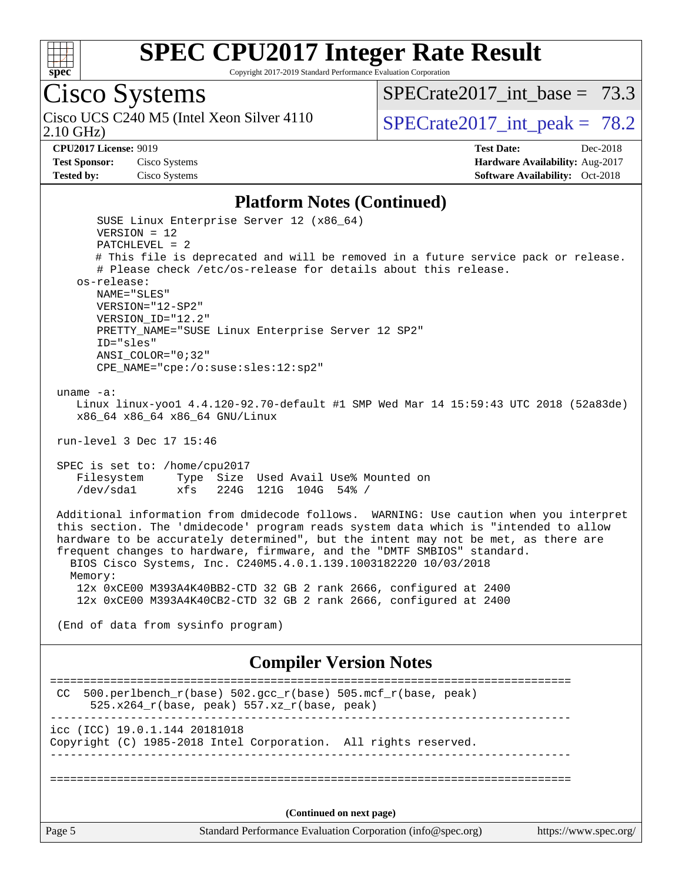

Copyright 2017-2019 Standard Performance Evaluation Corporation

# Cisco Systems

2.10 GHz) Cisco UCS C240 M5 (Intel Xeon Silver 4110  $\vert$  SPECrate 2017 int peak = 78.2

SPECrate2017 int\_base =  $73.3$ 

**[Test Sponsor:](http://www.spec.org/auto/cpu2017/Docs/result-fields.html#TestSponsor)** Cisco Systems **[Hardware Availability:](http://www.spec.org/auto/cpu2017/Docs/result-fields.html#HardwareAvailability)** Aug-2017

**[CPU2017 License:](http://www.spec.org/auto/cpu2017/Docs/result-fields.html#CPU2017License)** 9019 **[Test Date:](http://www.spec.org/auto/cpu2017/Docs/result-fields.html#TestDate)** Dec-2018 **[Tested by:](http://www.spec.org/auto/cpu2017/Docs/result-fields.html#Testedby)** Cisco Systems **[Software Availability:](http://www.spec.org/auto/cpu2017/Docs/result-fields.html#SoftwareAvailability)** Oct-2018

#### **[Platform Notes \(Continued\)](http://www.spec.org/auto/cpu2017/Docs/result-fields.html#PlatformNotes)**

Page 5 Standard Performance Evaluation Corporation [\(info@spec.org\)](mailto:info@spec.org) <https://www.spec.org/> SUSE Linux Enterprise Server 12 (x86\_64) VERSION = 12 PATCHLEVEL = 2 # This file is deprecated and will be removed in a future service pack or release. # Please check /etc/os-release for details about this release. os-release: NAME="SLES" VERSION="12-SP2" VERSION\_ID="12.2" PRETTY\_NAME="SUSE Linux Enterprise Server 12 SP2" ID="sles" ANSI\_COLOR="0;32" CPE\_NAME="cpe:/o:suse:sles:12:sp2" uname -a: Linux linux-yoo1 4.4.120-92.70-default #1 SMP Wed Mar 14 15:59:43 UTC 2018 (52a83de) x86\_64 x86\_64 x86\_64 GNU/Linux run-level 3 Dec 17 15:46 SPEC is set to: /home/cpu2017 Filesystem Type Size Used Avail Use% Mounted on /dev/sda1 xfs 224G 121G 104G 54% / Additional information from dmidecode follows. WARNING: Use caution when you interpret this section. The 'dmidecode' program reads system data which is "intended to allow hardware to be accurately determined", but the intent may not be met, as there are frequent changes to hardware, firmware, and the "DMTF SMBIOS" standard. BIOS Cisco Systems, Inc. C240M5.4.0.1.139.1003182220 10/03/2018 Memory: 12x 0xCE00 M393A4K40BB2-CTD 32 GB 2 rank 2666, configured at 2400 12x 0xCE00 M393A4K40CB2-CTD 32 GB 2 rank 2666, configured at 2400 (End of data from sysinfo program) **[Compiler Version Notes](http://www.spec.org/auto/cpu2017/Docs/result-fields.html#CompilerVersionNotes)** ============================================================================== CC 500.perlbench\_r(base)  $502.\text{gcc_r}(base)$  505.mcf\_r(base, peak) 525.x264\_r(base, peak) 557.xz\_r(base, peak) ----------------------------------------------------------------------------- icc (ICC) 19.0.1.144 20181018 Copyright (C) 1985-2018 Intel Corporation. All rights reserved. ------------------------------------------------------------------------------ ============================================================================== **(Continued on next page)**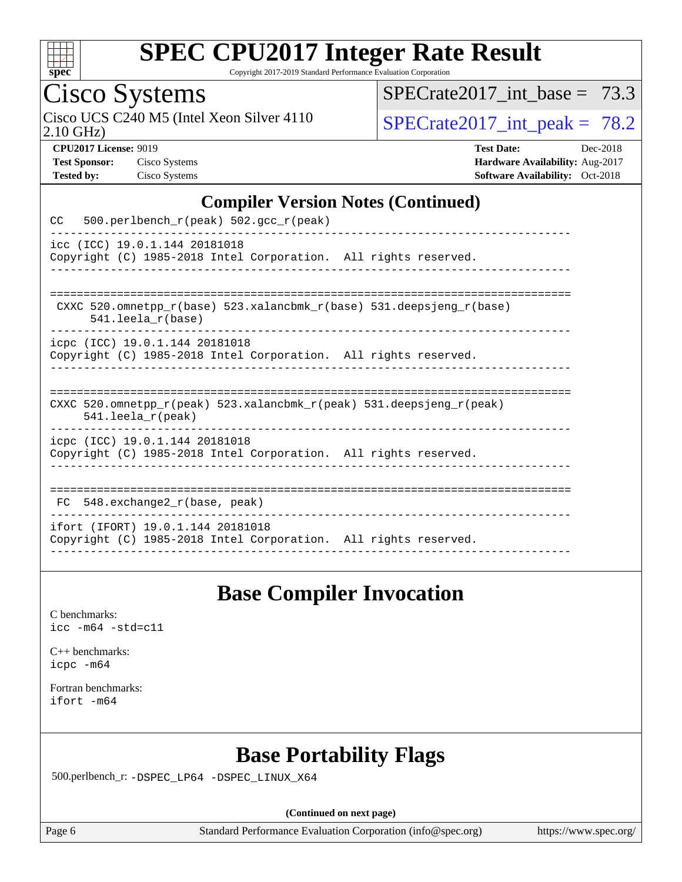

Copyright 2017-2019 Standard Performance Evaluation Corporation

## Cisco Systems

2.10 GHz) Cisco UCS C240 M5 (Intel Xeon Silver 4110  $SPECrate2017\_int\_peak = 78.2$ 

SPECrate2017 int\_base =  $73.3$ 

**[CPU2017 License:](http://www.spec.org/auto/cpu2017/Docs/result-fields.html#CPU2017License)** 9019 **[Test Date:](http://www.spec.org/auto/cpu2017/Docs/result-fields.html#TestDate)** Dec-2018 **[Test Sponsor:](http://www.spec.org/auto/cpu2017/Docs/result-fields.html#TestSponsor)** Cisco Systems **[Hardware Availability:](http://www.spec.org/auto/cpu2017/Docs/result-fields.html#HardwareAvailability)** Aug-2017 **[Tested by:](http://www.spec.org/auto/cpu2017/Docs/result-fields.html#Testedby)** Cisco Systems **[Software Availability:](http://www.spec.org/auto/cpu2017/Docs/result-fields.html#SoftwareAvailability)** Oct-2018

#### **[Compiler Version Notes \(Continued\)](http://www.spec.org/auto/cpu2017/Docs/result-fields.html#CompilerVersionNotes)**

| 500.perlbench_r(peak) 502.gcc_r(peak)<br>CC                                                                             |
|-------------------------------------------------------------------------------------------------------------------------|
| icc (ICC) 19.0.1.144 20181018<br>Copyright (C) 1985-2018 Intel Corporation. All rights reserved.                        |
| CXXC 520.omnetpp $r(base)$ 523.xalancbmk $r(base)$ 531.deepsjeng $r(base)$<br>$541.$ leela $r(base)$                    |
| icpc (ICC) 19.0.1.144 20181018<br>Copyright (C) 1985-2018 Intel Corporation. All rights reserved.                       |
| CXXC 520.omnetpp $r(\text{peak})$ 523.xalancbmk $r(\text{peak})$ 531.deepsjeng $r(\text{peak})$<br>$541.$ leela r(peak) |
| icpc (ICC) 19.0.1.144 20181018<br>Copyright (C) 1985-2018 Intel Corporation. All rights reserved.                       |
| 548.exchange2_r(base, peak)<br>FC.                                                                                      |
| ifort (IFORT) 19.0.1.144 20181018<br>Copyright (C) 1985-2018 Intel Corporation. All rights reserved.                    |

### **[Base Compiler Invocation](http://www.spec.org/auto/cpu2017/Docs/result-fields.html#BaseCompilerInvocation)**

[C benchmarks](http://www.spec.org/auto/cpu2017/Docs/result-fields.html#Cbenchmarks): [icc -m64 -std=c11](http://www.spec.org/cpu2017/results/res2019q1/cpu2017-20190108-10623.flags.html#user_CCbase_intel_icc_64bit_c11_33ee0cdaae7deeeab2a9725423ba97205ce30f63b9926c2519791662299b76a0318f32ddfffdc46587804de3178b4f9328c46fa7c2b0cd779d7a61945c91cd35)

[C++ benchmarks:](http://www.spec.org/auto/cpu2017/Docs/result-fields.html#CXXbenchmarks) [icpc -m64](http://www.spec.org/cpu2017/results/res2019q1/cpu2017-20190108-10623.flags.html#user_CXXbase_intel_icpc_64bit_4ecb2543ae3f1412ef961e0650ca070fec7b7afdcd6ed48761b84423119d1bf6bdf5cad15b44d48e7256388bc77273b966e5eb805aefd121eb22e9299b2ec9d9)

[Fortran benchmarks](http://www.spec.org/auto/cpu2017/Docs/result-fields.html#Fortranbenchmarks): [ifort -m64](http://www.spec.org/cpu2017/results/res2019q1/cpu2017-20190108-10623.flags.html#user_FCbase_intel_ifort_64bit_24f2bb282fbaeffd6157abe4f878425411749daecae9a33200eee2bee2fe76f3b89351d69a8130dd5949958ce389cf37ff59a95e7a40d588e8d3a57e0c3fd751)

## **[Base Portability Flags](http://www.spec.org/auto/cpu2017/Docs/result-fields.html#BasePortabilityFlags)**

500.perlbench\_r: [-DSPEC\\_LP64](http://www.spec.org/cpu2017/results/res2019q1/cpu2017-20190108-10623.flags.html#b500.perlbench_r_basePORTABILITY_DSPEC_LP64) [-DSPEC\\_LINUX\\_X64](http://www.spec.org/cpu2017/results/res2019q1/cpu2017-20190108-10623.flags.html#b500.perlbench_r_baseCPORTABILITY_DSPEC_LINUX_X64)

**(Continued on next page)**

Page 6 Standard Performance Evaluation Corporation [\(info@spec.org\)](mailto:info@spec.org) <https://www.spec.org/>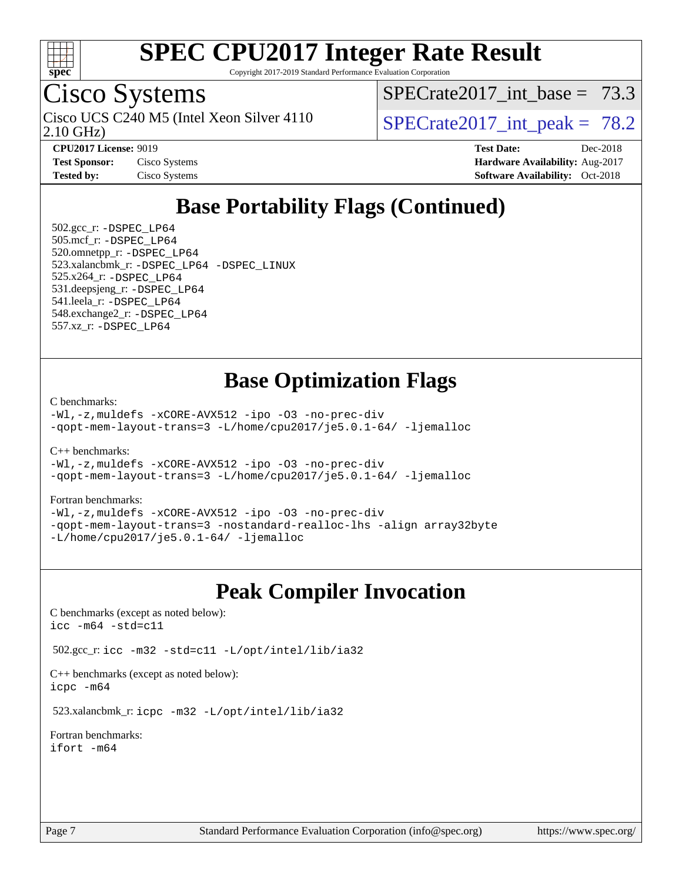

Copyright 2017-2019 Standard Performance Evaluation Corporation

## Cisco Systems

2.10 GHz) Cisco UCS C240 M5 (Intel Xeon Silver 4110  $\vert$  SPECrate 2017 int peak = 78.2

SPECrate2017 int\_base =  $73.3$ 

**[Tested by:](http://www.spec.org/auto/cpu2017/Docs/result-fields.html#Testedby)** Cisco Systems **[Software Availability:](http://www.spec.org/auto/cpu2017/Docs/result-fields.html#SoftwareAvailability)** Oct-2018

**[CPU2017 License:](http://www.spec.org/auto/cpu2017/Docs/result-fields.html#CPU2017License)** 9019 **[Test Date:](http://www.spec.org/auto/cpu2017/Docs/result-fields.html#TestDate)** Dec-2018 **[Test Sponsor:](http://www.spec.org/auto/cpu2017/Docs/result-fields.html#TestSponsor)** Cisco Systems **[Hardware Availability:](http://www.spec.org/auto/cpu2017/Docs/result-fields.html#HardwareAvailability)** Aug-2017

## **[Base Portability Flags \(Continued\)](http://www.spec.org/auto/cpu2017/Docs/result-fields.html#BasePortabilityFlags)**

 502.gcc\_r: [-DSPEC\\_LP64](http://www.spec.org/cpu2017/results/res2019q1/cpu2017-20190108-10623.flags.html#suite_basePORTABILITY502_gcc_r_DSPEC_LP64) 505.mcf\_r: [-DSPEC\\_LP64](http://www.spec.org/cpu2017/results/res2019q1/cpu2017-20190108-10623.flags.html#suite_basePORTABILITY505_mcf_r_DSPEC_LP64) 520.omnetpp\_r: [-DSPEC\\_LP64](http://www.spec.org/cpu2017/results/res2019q1/cpu2017-20190108-10623.flags.html#suite_basePORTABILITY520_omnetpp_r_DSPEC_LP64) 523.xalancbmk\_r: [-DSPEC\\_LP64](http://www.spec.org/cpu2017/results/res2019q1/cpu2017-20190108-10623.flags.html#suite_basePORTABILITY523_xalancbmk_r_DSPEC_LP64) [-DSPEC\\_LINUX](http://www.spec.org/cpu2017/results/res2019q1/cpu2017-20190108-10623.flags.html#b523.xalancbmk_r_baseCXXPORTABILITY_DSPEC_LINUX) 525.x264\_r: [-DSPEC\\_LP64](http://www.spec.org/cpu2017/results/res2019q1/cpu2017-20190108-10623.flags.html#suite_basePORTABILITY525_x264_r_DSPEC_LP64) 531.deepsjeng\_r: [-DSPEC\\_LP64](http://www.spec.org/cpu2017/results/res2019q1/cpu2017-20190108-10623.flags.html#suite_basePORTABILITY531_deepsjeng_r_DSPEC_LP64) 541.leela\_r: [-DSPEC\\_LP64](http://www.spec.org/cpu2017/results/res2019q1/cpu2017-20190108-10623.flags.html#suite_basePORTABILITY541_leela_r_DSPEC_LP64) 548.exchange2\_r: [-DSPEC\\_LP64](http://www.spec.org/cpu2017/results/res2019q1/cpu2017-20190108-10623.flags.html#suite_basePORTABILITY548_exchange2_r_DSPEC_LP64) 557.xz\_r: [-DSPEC\\_LP64](http://www.spec.org/cpu2017/results/res2019q1/cpu2017-20190108-10623.flags.html#suite_basePORTABILITY557_xz_r_DSPEC_LP64)

### **[Base Optimization Flags](http://www.spec.org/auto/cpu2017/Docs/result-fields.html#BaseOptimizationFlags)**

[C benchmarks](http://www.spec.org/auto/cpu2017/Docs/result-fields.html#Cbenchmarks):

[-Wl,-z,muldefs](http://www.spec.org/cpu2017/results/res2019q1/cpu2017-20190108-10623.flags.html#user_CCbase_link_force_multiple1_b4cbdb97b34bdee9ceefcfe54f4c8ea74255f0b02a4b23e853cdb0e18eb4525ac79b5a88067c842dd0ee6996c24547a27a4b99331201badda8798ef8a743f577) [-xCORE-AVX512](http://www.spec.org/cpu2017/results/res2019q1/cpu2017-20190108-10623.flags.html#user_CCbase_f-xCORE-AVX512) [-ipo](http://www.spec.org/cpu2017/results/res2019q1/cpu2017-20190108-10623.flags.html#user_CCbase_f-ipo) [-O3](http://www.spec.org/cpu2017/results/res2019q1/cpu2017-20190108-10623.flags.html#user_CCbase_f-O3) [-no-prec-div](http://www.spec.org/cpu2017/results/res2019q1/cpu2017-20190108-10623.flags.html#user_CCbase_f-no-prec-div) [-qopt-mem-layout-trans=3](http://www.spec.org/cpu2017/results/res2019q1/cpu2017-20190108-10623.flags.html#user_CCbase_f-qopt-mem-layout-trans_de80db37974c74b1f0e20d883f0b675c88c3b01e9d123adea9b28688d64333345fb62bc4a798493513fdb68f60282f9a726aa07f478b2f7113531aecce732043) [-L/home/cpu2017/je5.0.1-64/](http://www.spec.org/cpu2017/results/res2019q1/cpu2017-20190108-10623.flags.html#user_CCbase_jemalloc_link_path64_8e927a5f1bdac0405e66c637541874330e08086b5e62a1d024bcf3497e3c64fd173c8afb7d1730d51f6da781ef4c439bdab468bb8364cf71435e0c609fac500c) [-ljemalloc](http://www.spec.org/cpu2017/results/res2019q1/cpu2017-20190108-10623.flags.html#user_CCbase_jemalloc_link_lib_d1249b907c500fa1c0672f44f562e3d0f79738ae9e3c4a9c376d49f265a04b9c99b167ecedbf6711b3085be911c67ff61f150a17b3472be731631ba4d0471706)

[C++ benchmarks:](http://www.spec.org/auto/cpu2017/Docs/result-fields.html#CXXbenchmarks)

[-Wl,-z,muldefs](http://www.spec.org/cpu2017/results/res2019q1/cpu2017-20190108-10623.flags.html#user_CXXbase_link_force_multiple1_b4cbdb97b34bdee9ceefcfe54f4c8ea74255f0b02a4b23e853cdb0e18eb4525ac79b5a88067c842dd0ee6996c24547a27a4b99331201badda8798ef8a743f577) [-xCORE-AVX512](http://www.spec.org/cpu2017/results/res2019q1/cpu2017-20190108-10623.flags.html#user_CXXbase_f-xCORE-AVX512) [-ipo](http://www.spec.org/cpu2017/results/res2019q1/cpu2017-20190108-10623.flags.html#user_CXXbase_f-ipo) [-O3](http://www.spec.org/cpu2017/results/res2019q1/cpu2017-20190108-10623.flags.html#user_CXXbase_f-O3) [-no-prec-div](http://www.spec.org/cpu2017/results/res2019q1/cpu2017-20190108-10623.flags.html#user_CXXbase_f-no-prec-div) [-qopt-mem-layout-trans=3](http://www.spec.org/cpu2017/results/res2019q1/cpu2017-20190108-10623.flags.html#user_CXXbase_f-qopt-mem-layout-trans_de80db37974c74b1f0e20d883f0b675c88c3b01e9d123adea9b28688d64333345fb62bc4a798493513fdb68f60282f9a726aa07f478b2f7113531aecce732043) [-L/home/cpu2017/je5.0.1-64/](http://www.spec.org/cpu2017/results/res2019q1/cpu2017-20190108-10623.flags.html#user_CXXbase_jemalloc_link_path64_8e927a5f1bdac0405e66c637541874330e08086b5e62a1d024bcf3497e3c64fd173c8afb7d1730d51f6da781ef4c439bdab468bb8364cf71435e0c609fac500c) [-ljemalloc](http://www.spec.org/cpu2017/results/res2019q1/cpu2017-20190108-10623.flags.html#user_CXXbase_jemalloc_link_lib_d1249b907c500fa1c0672f44f562e3d0f79738ae9e3c4a9c376d49f265a04b9c99b167ecedbf6711b3085be911c67ff61f150a17b3472be731631ba4d0471706)

#### [Fortran benchmarks](http://www.spec.org/auto/cpu2017/Docs/result-fields.html#Fortranbenchmarks):

[-Wl,-z,muldefs](http://www.spec.org/cpu2017/results/res2019q1/cpu2017-20190108-10623.flags.html#user_FCbase_link_force_multiple1_b4cbdb97b34bdee9ceefcfe54f4c8ea74255f0b02a4b23e853cdb0e18eb4525ac79b5a88067c842dd0ee6996c24547a27a4b99331201badda8798ef8a743f577) [-xCORE-AVX512](http://www.spec.org/cpu2017/results/res2019q1/cpu2017-20190108-10623.flags.html#user_FCbase_f-xCORE-AVX512) [-ipo](http://www.spec.org/cpu2017/results/res2019q1/cpu2017-20190108-10623.flags.html#user_FCbase_f-ipo) [-O3](http://www.spec.org/cpu2017/results/res2019q1/cpu2017-20190108-10623.flags.html#user_FCbase_f-O3) [-no-prec-div](http://www.spec.org/cpu2017/results/res2019q1/cpu2017-20190108-10623.flags.html#user_FCbase_f-no-prec-div) [-qopt-mem-layout-trans=3](http://www.spec.org/cpu2017/results/res2019q1/cpu2017-20190108-10623.flags.html#user_FCbase_f-qopt-mem-layout-trans_de80db37974c74b1f0e20d883f0b675c88c3b01e9d123adea9b28688d64333345fb62bc4a798493513fdb68f60282f9a726aa07f478b2f7113531aecce732043) [-nostandard-realloc-lhs](http://www.spec.org/cpu2017/results/res2019q1/cpu2017-20190108-10623.flags.html#user_FCbase_f_2003_std_realloc_82b4557e90729c0f113870c07e44d33d6f5a304b4f63d4c15d2d0f1fab99f5daaed73bdb9275d9ae411527f28b936061aa8b9c8f2d63842963b95c9dd6426b8a) [-align array32byte](http://www.spec.org/cpu2017/results/res2019q1/cpu2017-20190108-10623.flags.html#user_FCbase_align_array32byte_b982fe038af199962ba9a80c053b8342c548c85b40b8e86eb3cc33dee0d7986a4af373ac2d51c3f7cf710a18d62fdce2948f201cd044323541f22fc0fffc51b6) [-L/home/cpu2017/je5.0.1-64/](http://www.spec.org/cpu2017/results/res2019q1/cpu2017-20190108-10623.flags.html#user_FCbase_jemalloc_link_path64_8e927a5f1bdac0405e66c637541874330e08086b5e62a1d024bcf3497e3c64fd173c8afb7d1730d51f6da781ef4c439bdab468bb8364cf71435e0c609fac500c) [-ljemalloc](http://www.spec.org/cpu2017/results/res2019q1/cpu2017-20190108-10623.flags.html#user_FCbase_jemalloc_link_lib_d1249b907c500fa1c0672f44f562e3d0f79738ae9e3c4a9c376d49f265a04b9c99b167ecedbf6711b3085be911c67ff61f150a17b3472be731631ba4d0471706)

### **[Peak Compiler Invocation](http://www.spec.org/auto/cpu2017/Docs/result-fields.html#PeakCompilerInvocation)**

[C benchmarks \(except as noted below\)](http://www.spec.org/auto/cpu2017/Docs/result-fields.html#Cbenchmarksexceptasnotedbelow): [icc -m64 -std=c11](http://www.spec.org/cpu2017/results/res2019q1/cpu2017-20190108-10623.flags.html#user_CCpeak_intel_icc_64bit_c11_33ee0cdaae7deeeab2a9725423ba97205ce30f63b9926c2519791662299b76a0318f32ddfffdc46587804de3178b4f9328c46fa7c2b0cd779d7a61945c91cd35)

502.gcc\_r: [icc -m32 -std=c11 -L/opt/intel/lib/ia32](http://www.spec.org/cpu2017/results/res2019q1/cpu2017-20190108-10623.flags.html#user_peakCCLD502_gcc_r_intel_icc_ba8be3d1ddcd8fa690d221d86b97d5980848a6fc7befb72d2aae7f265697ba3b80fdc9e77889232674508f6cf7fae229a8f479c4e0ca8921041dee8e2ca22d98)

[C++ benchmarks \(except as noted below\):](http://www.spec.org/auto/cpu2017/Docs/result-fields.html#CXXbenchmarksexceptasnotedbelow) [icpc -m64](http://www.spec.org/cpu2017/results/res2019q1/cpu2017-20190108-10623.flags.html#user_CXXpeak_intel_icpc_64bit_4ecb2543ae3f1412ef961e0650ca070fec7b7afdcd6ed48761b84423119d1bf6bdf5cad15b44d48e7256388bc77273b966e5eb805aefd121eb22e9299b2ec9d9)

523.xalancbmk\_r: [icpc -m32 -L/opt/intel/lib/ia32](http://www.spec.org/cpu2017/results/res2019q1/cpu2017-20190108-10623.flags.html#user_peakCXXLD523_xalancbmk_r_intel_icpc_44eae83c1f565e7e266431f067370024ba26559400a3332485578bf716e23841c734f948145e944e2f4b6f3ce32c2c966ea92b66ca79c6f94f301242c0f554cf)

[Fortran benchmarks](http://www.spec.org/auto/cpu2017/Docs/result-fields.html#Fortranbenchmarks): [ifort -m64](http://www.spec.org/cpu2017/results/res2019q1/cpu2017-20190108-10623.flags.html#user_FCpeak_intel_ifort_64bit_24f2bb282fbaeffd6157abe4f878425411749daecae9a33200eee2bee2fe76f3b89351d69a8130dd5949958ce389cf37ff59a95e7a40d588e8d3a57e0c3fd751)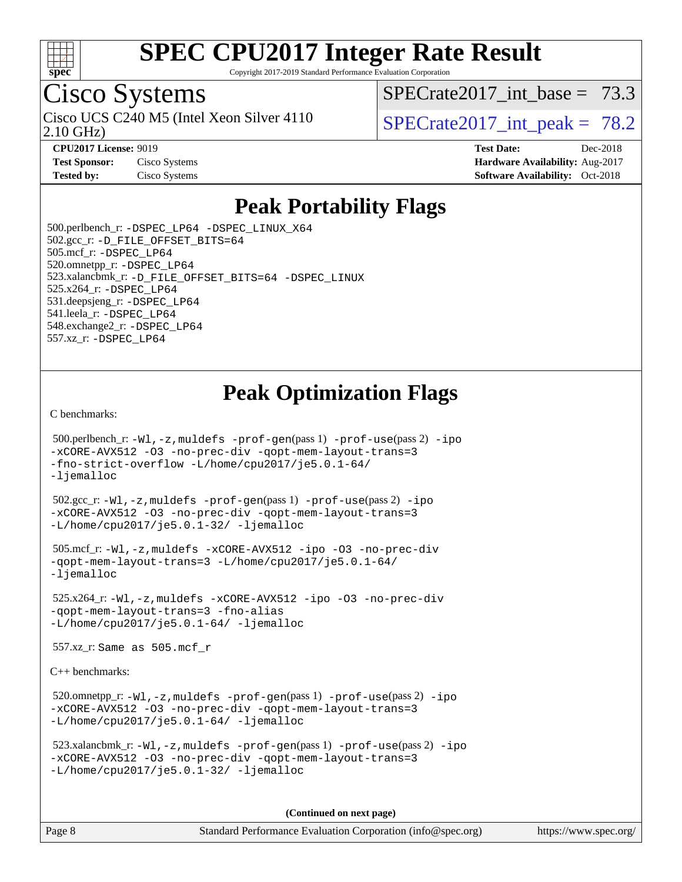

Copyright 2017-2019 Standard Performance Evaluation Corporation

## Cisco Systems

2.10 GHz) Cisco UCS C240 M5 (Intel Xeon Silver 4110  $\vert$  SPECrate 2017 int peak = 78.2

SPECrate2017 int\_base =  $73.3$ 

**[Test Sponsor:](http://www.spec.org/auto/cpu2017/Docs/result-fields.html#TestSponsor)** Cisco Systems **[Hardware Availability:](http://www.spec.org/auto/cpu2017/Docs/result-fields.html#HardwareAvailability)** Aug-2017

**[CPU2017 License:](http://www.spec.org/auto/cpu2017/Docs/result-fields.html#CPU2017License)** 9019 **[Test Date:](http://www.spec.org/auto/cpu2017/Docs/result-fields.html#TestDate)** Dec-2018 **[Tested by:](http://www.spec.org/auto/cpu2017/Docs/result-fields.html#Testedby)** Cisco Systems **[Software Availability:](http://www.spec.org/auto/cpu2017/Docs/result-fields.html#SoftwareAvailability)** Oct-2018

### **[Peak Portability Flags](http://www.spec.org/auto/cpu2017/Docs/result-fields.html#PeakPortabilityFlags)**

 500.perlbench\_r: [-DSPEC\\_LP64](http://www.spec.org/cpu2017/results/res2019q1/cpu2017-20190108-10623.flags.html#b500.perlbench_r_peakPORTABILITY_DSPEC_LP64) [-DSPEC\\_LINUX\\_X64](http://www.spec.org/cpu2017/results/res2019q1/cpu2017-20190108-10623.flags.html#b500.perlbench_r_peakCPORTABILITY_DSPEC_LINUX_X64) 502.gcc\_r: [-D\\_FILE\\_OFFSET\\_BITS=64](http://www.spec.org/cpu2017/results/res2019q1/cpu2017-20190108-10623.flags.html#user_peakPORTABILITY502_gcc_r_file_offset_bits_64_5ae949a99b284ddf4e95728d47cb0843d81b2eb0e18bdfe74bbf0f61d0b064f4bda2f10ea5eb90e1dcab0e84dbc592acfc5018bc955c18609f94ddb8d550002c) 505.mcf\_r: [-DSPEC\\_LP64](http://www.spec.org/cpu2017/results/res2019q1/cpu2017-20190108-10623.flags.html#suite_peakPORTABILITY505_mcf_r_DSPEC_LP64) 520.omnetpp\_r: [-DSPEC\\_LP64](http://www.spec.org/cpu2017/results/res2019q1/cpu2017-20190108-10623.flags.html#suite_peakPORTABILITY520_omnetpp_r_DSPEC_LP64) 523.xalancbmk\_r: [-D\\_FILE\\_OFFSET\\_BITS=64](http://www.spec.org/cpu2017/results/res2019q1/cpu2017-20190108-10623.flags.html#user_peakPORTABILITY523_xalancbmk_r_file_offset_bits_64_5ae949a99b284ddf4e95728d47cb0843d81b2eb0e18bdfe74bbf0f61d0b064f4bda2f10ea5eb90e1dcab0e84dbc592acfc5018bc955c18609f94ddb8d550002c) [-DSPEC\\_LINUX](http://www.spec.org/cpu2017/results/res2019q1/cpu2017-20190108-10623.flags.html#b523.xalancbmk_r_peakCXXPORTABILITY_DSPEC_LINUX) 525.x264\_r: [-DSPEC\\_LP64](http://www.spec.org/cpu2017/results/res2019q1/cpu2017-20190108-10623.flags.html#suite_peakPORTABILITY525_x264_r_DSPEC_LP64) 531.deepsjeng\_r: [-DSPEC\\_LP64](http://www.spec.org/cpu2017/results/res2019q1/cpu2017-20190108-10623.flags.html#suite_peakPORTABILITY531_deepsjeng_r_DSPEC_LP64) 541.leela\_r: [-DSPEC\\_LP64](http://www.spec.org/cpu2017/results/res2019q1/cpu2017-20190108-10623.flags.html#suite_peakPORTABILITY541_leela_r_DSPEC_LP64) 548.exchange2\_r: [-DSPEC\\_LP64](http://www.spec.org/cpu2017/results/res2019q1/cpu2017-20190108-10623.flags.html#suite_peakPORTABILITY548_exchange2_r_DSPEC_LP64) 557.xz\_r: [-DSPEC\\_LP64](http://www.spec.org/cpu2017/results/res2019q1/cpu2017-20190108-10623.flags.html#suite_peakPORTABILITY557_xz_r_DSPEC_LP64)

## **[Peak Optimization Flags](http://www.spec.org/auto/cpu2017/Docs/result-fields.html#PeakOptimizationFlags)**

[C benchmarks](http://www.spec.org/auto/cpu2017/Docs/result-fields.html#Cbenchmarks):

```
 500.perlbench_r: -Wl,-z,muldefs -prof-gen(pass 1) -prof-use(pass 2) -ipo
-xCORE-AVX512 -O3 -no-prec-div -qopt-mem-layout-trans=3
-fno-strict-overflow -L/home/cpu2017/je5.0.1-64/
-ljemalloc
 502.gcc_r: -Wl,-z,muldefs -prof-gen(pass 1) -prof-use(pass 2) -ipo
-xCORE-AVX512 -O3 -no-prec-div -qopt-mem-layout-trans=3
-L/home/cpu2017/je5.0.1-32/ -ljemalloc
 505.mcf_r: -Wl,-z,muldefs -xCORE-AVX512 -ipo -O3 -no-prec-div
-qopt-mem-layout-trans=3 -L/home/cpu2017/je5.0.1-64/
-ljemalloc
 525.x264_r: -Wl,-z,muldefs -xCORE-AVX512 -ipo -O3 -no-prec-div
-qopt-mem-layout-trans=3 -fno-alias
-ljemalloc 557.xz_r: Same as 505.mcf_r
C++ benchmarks: 
 520.omnetpp_r: -Wl,-z,muldefs -prof-gen(pass 1) -prof-use(pass 2) -ipo
-xCORE-AVX512 -O3 -no-prec-div -qopt-mem-layout-trans=3
-L/home/cpu2017/je5.0.1-64/ -ljemalloc
```

```
 523.xalancbmk_r: -Wl,-z,muldefs -prof-gen(pass 1) -prof-use(pass 2) -ipo
-xCORE-AVX512 -O3 -no-prec-div -qopt-mem-layout-trans=3
-L/home/cpu2017/je5.0.1-32/ -ljemalloc
```
**(Continued on next page)**